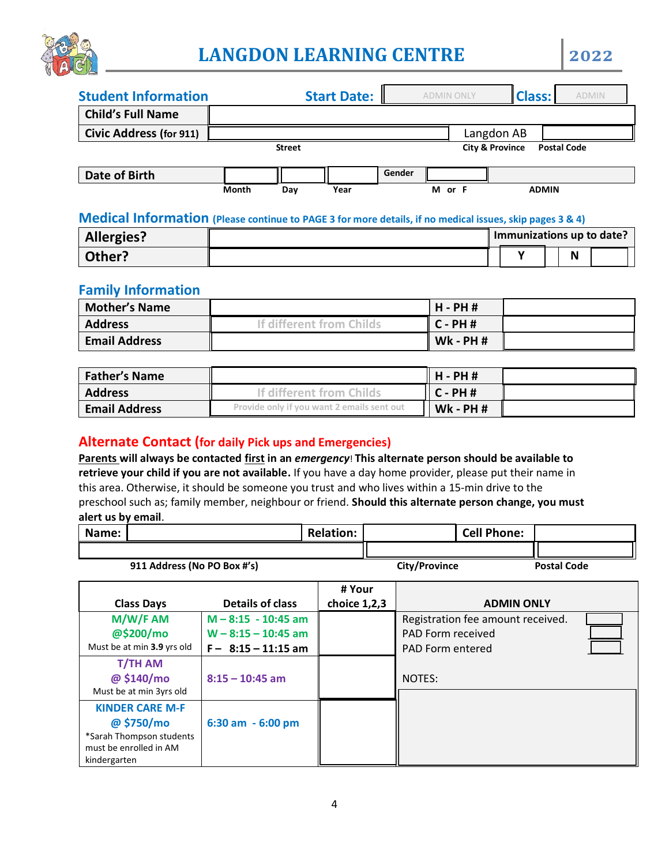

# **LANGDON LEARNING CENTRE 2022**

| <b>Student Information</b>     |               |     | <b>Start Date:</b> |        | <b>ADMIN ONLY</b> | <b>Class:</b>              | <b>ADMIN</b>       |  |
|--------------------------------|---------------|-----|--------------------|--------|-------------------|----------------------------|--------------------|--|
| <b>Child's Full Name</b>       |               |     |                    |        |                   |                            |                    |  |
| <b>Civic Address (for 911)</b> |               |     |                    |        |                   | Langdon AB                 |                    |  |
|                                | <b>Street</b> |     |                    |        |                   | <b>City &amp; Province</b> | <b>Postal Code</b> |  |
| Date of Birth                  |               |     |                    | Gender |                   |                            |                    |  |
|                                | <b>Month</b>  | Day | Year               |        | М<br>or F         |                            | <b>ADMIN</b>       |  |

#### **Medical Information (Please continue to PAGE 3 for more details, if no medical issues, skip pages 3 & 4)**

| <b>Allergies?</b> |  | Immunizations up to date? |          |  |
|-------------------|--|---------------------------|----------|--|
| Other?            |  |                           | . .<br>N |  |

# **Family Information**

| <b>Mother's Name</b> |                       | $H - PH$ #      |  |
|----------------------|-----------------------|-----------------|--|
| <b>Address</b>       | different from Childs | $C - PH$ #      |  |
| <b>Email Address</b> |                       | <b>Wk - PH#</b> |  |

| Father's Name        |                                            | H - PH #        |  |
|----------------------|--------------------------------------------|-----------------|--|
| <b>Address</b>       | If different from Childs                   | $ C-PHH $       |  |
| <b>Email Address</b> | Provide only if you want 2 emails sent out | <b>Wk - PH#</b> |  |

## **Alternate Contact (for daily Pick ups and Emergencies)**

**Parents will always be contacted first in an** *emergency*! **This alternate person should be available to retrieve your child if you are not available.** If you have a day home provider, please put their name in this area. Otherwise, it should be someone you trust and who lives within a 15-min drive to the preschool such as; family member, neighbour or friend. **Should this alternate person change, you must alert us by email**.

| Name: |                             | <b>Relation:</b> |               | <b>Cell Phone:</b> |                    |
|-------|-----------------------------|------------------|---------------|--------------------|--------------------|
|       |                             |                  |               |                    |                    |
|       | 911 Address (No PO Box #'s) |                  | City/Province |                    | <b>Postal Code</b> |

|                                       |                         | # Your       |                                   |  |
|---------------------------------------|-------------------------|--------------|-----------------------------------|--|
| <b>Class Days</b>                     | <b>Details of class</b> | choice 1,2,3 | <b>ADMIN ONLY</b>                 |  |
| M/W/F AM                              | $M - 8:15 - 10:45$ am   |              | Registration fee amount received. |  |
| @\$200/mo                             | $W - 8:15 - 10:45$ am   |              | PAD Form received                 |  |
| Must be at min 3.9 yrs old            | $F - 8:15 - 11:15$ am   |              | <b>PAD Form entered</b>           |  |
| T/TH AM                               |                         |              |                                   |  |
| @ \$140/mo<br>Must be at min 3yrs old | $8:15 - 10:45$ am       |              | <b>NOTES:</b>                     |  |
|                                       |                         |              |                                   |  |
| <b>KINDER CARE M-F</b>                |                         |              |                                   |  |
| @\$750/mo                             | 6:30 am - 6:00 pm       |              |                                   |  |
| *Sarah Thompson students              |                         |              |                                   |  |
| must be enrolled in AM                |                         |              |                                   |  |
| kindergarten                          |                         |              |                                   |  |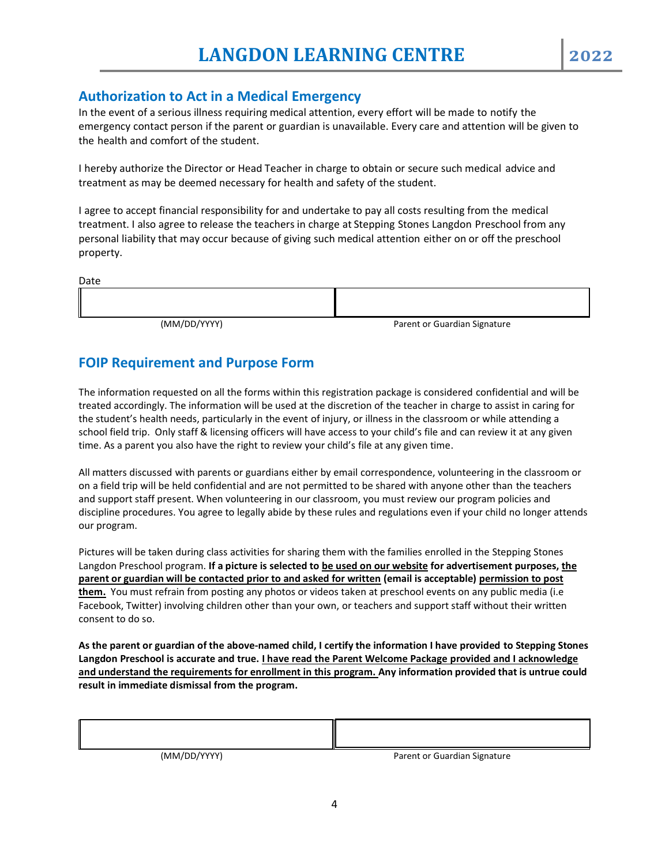### **Authorization to Act in a Medical Emergency**

In the event of a serious illness requiring medical attention, every effort will be made to notify the emergency contact person if the parent or guardian is unavailable. Every care and attention will be given to the health and comfort of the student.

I hereby authorize the Director or Head Teacher in charge to obtain or secure such medical advice and treatment as may be deemed necessary for health and safety of the student.

I agree to accept financial responsibility for and undertake to pay all costs resulting from the medical treatment. I also agree to release the teachers in charge at Stepping Stones Langdon Preschool from any personal liability that may occur because of giving such medical attention either on or off the preschool property.

| Date                                                |                                                     |
|-----------------------------------------------------|-----------------------------------------------------|
|                                                     |                                                     |
|                                                     |                                                     |
| $\lambda$ and $\lambda$ and $\lambda$ and $\lambda$ | $\cdots$ $\cdots$<br>$\sim$<br>$\sim$ $\sim$<br>. . |

(MM/DD/YYYY) Parent or Guardian Signature

# **FOIP Requirement and Purpose Form**

The information requested on all the forms within this registration package is considered confidential and will be treated accordingly. The information will be used at the discretion of the teacher in charge to assist in caring for the student's health needs, particularly in the event of injury, or illness in the classroom or while attending a school field trip. Only staff & licensing officers will have access to your child's file and can review it at any given time. As a parent you also have the right to review your child's file at any given time.

All matters discussed with parents or guardians either by email correspondence, volunteering in the classroom or on a field trip will be held confidential and are not permitted to be shared with anyone other than the teachers and support staff present. When volunteering in our classroom, you must review our program policies and discipline procedures. You agree to legally abide by these rules and regulations even if your child no longer attends our program.

Pictures will be taken during class activities for sharing them with the families enrolled in the Stepping Stones Langdon Preschool program. **If a picture is selected to be used on our website for advertisement purposes, the parent or guardian will be contacted prior to and asked for written (email is acceptable) permission to post them.** You must refrain from posting any photos or videos taken at preschool events on any public media (i.e Facebook, Twitter) involving children other than your own, or teachers and support staff without their written consent to do so.

**As the parent or guardian of the above-named child, I certify the information I have provided to Stepping Stones Langdon Preschool is accurate and true. I have read the Parent Welcome Package provided and I acknowledge and understand the requirements for enrollment in this program. Any information provided that is untrue could result in immediate dismissal from the program.**

| $\lambda$ as a $\lambda$ and $\lambda$ and $\lambda$ | $\sim$<br>$\cdots$<br>$\overline{\phantom{0}}$<br>- |
|------------------------------------------------------|-----------------------------------------------------|

(MM/DD/YYYY) Parent or Guardian Signature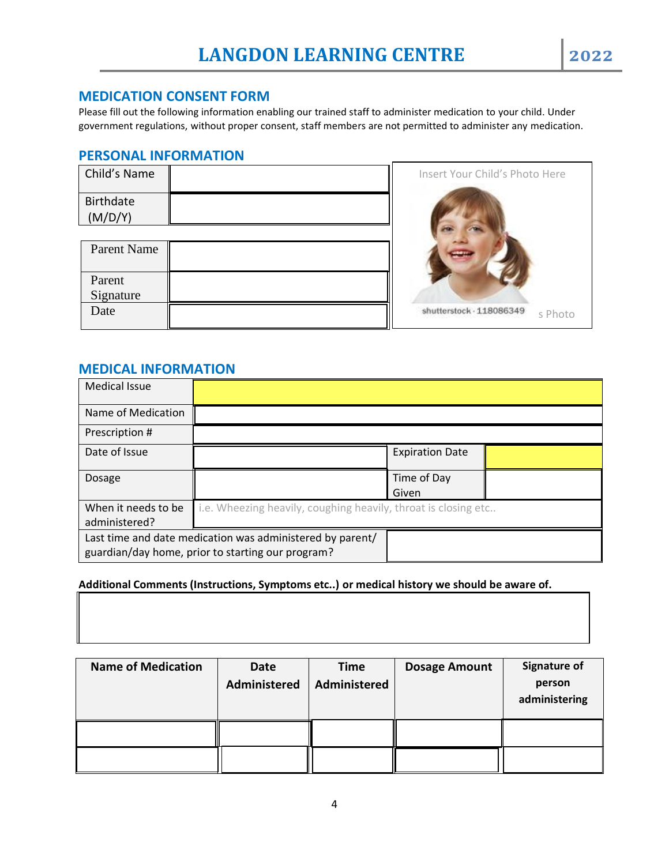#### **MEDICATION CONSENT FORM**

Please fill out the following information enabling our trained staff to administer medication to your child. Under government regulations, without proper consent, staff members are not permitted to administer any medication.

#### **PERSONAL INFORMATION**

| Child's Name         |  |
|----------------------|--|
| Birthdate<br>(M/D/Y) |  |
| $\mathbf{X}$<br>n    |  |

| Parent Name         |  |
|---------------------|--|
| Parent<br>Signature |  |
| Date                |  |



# **MEDICAL INFORMATION**

| Medical Issue                                                                                                  |                                                                |                        |  |
|----------------------------------------------------------------------------------------------------------------|----------------------------------------------------------------|------------------------|--|
| Name of Medication                                                                                             |                                                                |                        |  |
| Prescription #                                                                                                 |                                                                |                        |  |
| Date of Issue                                                                                                  |                                                                | <b>Expiration Date</b> |  |
| Dosage                                                                                                         |                                                                | Time of Day<br>Given   |  |
| When it needs to be<br>administered?                                                                           | i.e. Wheezing heavily, coughing heavily, throat is closing etc |                        |  |
| Last time and date medication was administered by parent/<br>guardian/day home, prior to starting our program? |                                                                |                        |  |

#### **Additional Comments (Instructions, Symptoms etc..) or medical history we should be aware of.**

| <b>Name of Medication</b> | Date         | <b>Time</b>  | <b>Dosage Amount</b> | <b>Signature of</b>     |
|---------------------------|--------------|--------------|----------------------|-------------------------|
|                           | Administered | Administered |                      | person<br>administering |
|                           |              |              |                      |                         |
|                           |              |              |                      |                         |